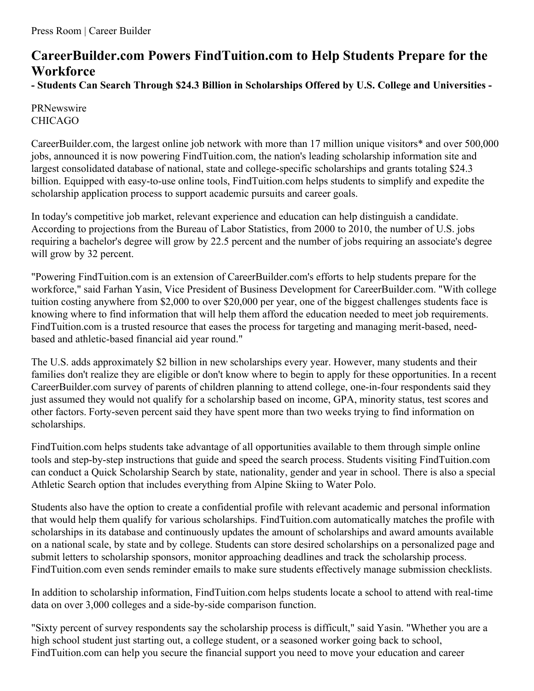# **CareerBuilder.com Powers FindTuition.com to Help Students Prepare for the Workforce**

**- Students Can Search Through \$24.3 Billion in Scholarships Offered by U.S. College and Universities -**

## PRNewswire CHICAGO

CareerBuilder.com, the largest online job network with more than 17 million unique visitors\* and over 500,000 jobs, announced it is now powering FindTuition.com, the nation's leading scholarship information site and largest consolidated database of national, state and college-specific scholarships and grants totaling \$24.3 billion. Equipped with easy-to-use online tools, FindTuition.com helps students to simplify and expedite the scholarship application process to support academic pursuits and career goals.

In today's competitive job market, relevant experience and education can help distinguish a candidate. According to projections from the Bureau of Labor Statistics, from 2000 to 2010, the number of U.S. jobs requiring a bachelor's degree will grow by 22.5 percent and the number of jobs requiring an associate's degree will grow by 32 percent.

"Powering FindTuition.com is an extension of CareerBuilder.com's efforts to help students prepare for the workforce," said Farhan Yasin, Vice President of Business Development for CareerBuilder.com. "With college tuition costing anywhere from \$2,000 to over \$20,000 per year, one of the biggest challenges students face is knowing where to find information that will help them afford the education needed to meet job requirements. FindTuition.com is a trusted resource that eases the process for targeting and managing merit-based, needbased and athletic-based financial aid year round."

The U.S. adds approximately \$2 billion in new scholarships every year. However, many students and their families don't realize they are eligible or don't know where to begin to apply for these opportunities. In a recent CareerBuilder.com survey of parents of children planning to attend college, one-in-four respondents said they just assumed they would not qualify for a scholarship based on income, GPA, minority status, test scores and other factors. Forty-seven percent said they have spent more than two weeks trying to find information on scholarships.

FindTuition.com helps students take advantage of all opportunities available to them through simple online tools and step-by-step instructions that guide and speed the search process. Students visiting FindTuition.com can conduct a Quick Scholarship Search by state, nationality, gender and year in school. There is also a special Athletic Search option that includes everything from Alpine Skiing to Water Polo.

Students also have the option to create a confidential profile with relevant academic and personal information that would help them qualify for various scholarships. FindTuition.com automatically matches the profile with scholarships in its database and continuously updates the amount of scholarships and award amounts available on a national scale, by state and by college. Students can store desired scholarships on a personalized page and submit letters to scholarship sponsors, monitor approaching deadlines and track the scholarship process. FindTuition.com even sends reminder emails to make sure students effectively manage submission checklists.

In addition to scholarship information, FindTuition.com helps students locate a school to attend with real-time data on over 3,000 colleges and a side-by-side comparison function.

"Sixty percent of survey respondents say the scholarship process is difficult," said Yasin. "Whether you are a high school student just starting out, a college student, or a seasoned worker going back to school, FindTuition.com can help you secure the financial support you need to move your education and career